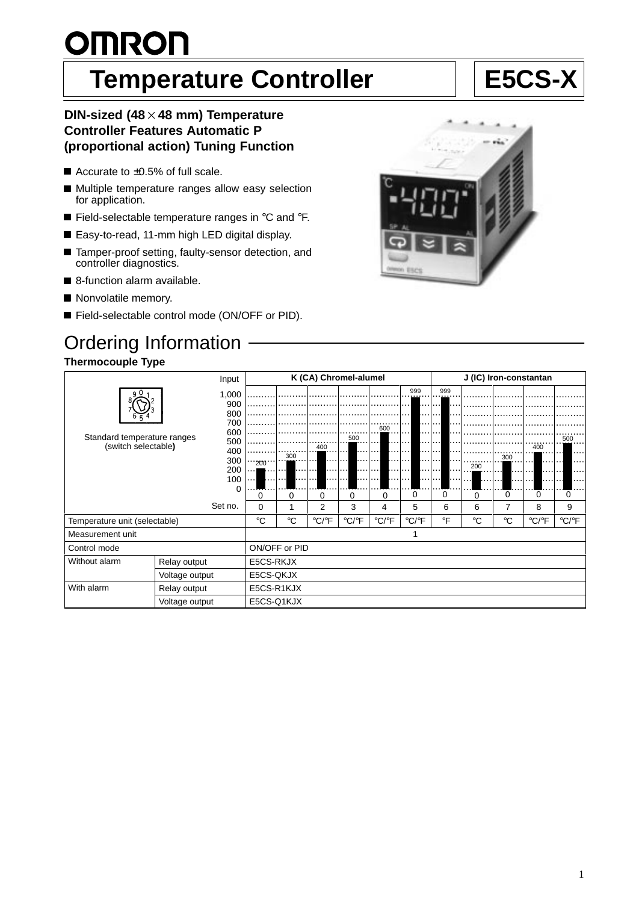# **OMRON Temperature Controller | E5CS-X**

# **DIN-sized (4848 mm) Temperature Controller Features Automatic P (proportional action) Tuning Function**

- Accurate to  $\pm 0.5$ % of full scale.
- **Multiple temperature ranges allow easy selection** for application.
- Field-selectable temperature ranges in  $°C$  and  $°F$ .
- Easy-to-read, 11-mm high LED digital display.
- Tamper-proof setting, faulty-sensor detection, and controller diagnostics.
- 8-function alarm available.
- Nonvolatile memory.
- Field-selectable control mode (ON/OFF or PID).

# Ordering Information

# **Thermocouple Type**



| - - - - -                                                 |                                                                                                |                              |               |                           |                            |                           |                           |                |               |                        |                           |                           |
|-----------------------------------------------------------|------------------------------------------------------------------------------------------------|------------------------------|---------------|---------------------------|----------------------------|---------------------------|---------------------------|----------------|---------------|------------------------|---------------------------|---------------------------|
|                                                           | Input                                                                                          |                              |               | K (CA) Chromel-alumel     |                            |                           |                           |                |               | J (IC) Iron-constantan |                           |                           |
| 9 O<br>Standard temperature ranges<br>(switch selectable) | 1,000<br>900<br>800<br>700<br>600<br>500<br>400<br>300<br>200<br>100<br>$\mathbf 0$<br>Set no. | .200<br>$\Omega$<br>$\Omega$ | 300<br>0      | 400<br>0<br>2             | 500<br>$\Omega$<br>3       | 600<br>0<br>4             | 999<br>$\Omega$<br>5      | 999<br>0<br>6  | 200<br>0<br>6 | 300<br>0<br>7          | 400<br>$\cdots$<br>0<br>8 | 500<br>0<br>9             |
| Temperature unit (selectable)                             |                                                                                                | $\rm ^{\circ}C$              | $^{\circ}C$   | $\mathrm{C}/\mathrm{P}$ F | $^{\circ}$ C/ $^{\circ}$ F | $\mathrm{C}/\mathrm{P}$ F | $\mathrm{C}/\mathrm{P}$ F | $\overline{F}$ | $^{\circ}C$   | $^{\circ}C$            | $\mathrm{C}/\mathrm{P}$ F | $\mathrm{C}/\mathrm{P}$ F |
| Measurement unit                                          |                                                                                                |                              |               |                           |                            |                           |                           |                |               |                        |                           |                           |
|                                                           |                                                                                                |                              |               |                           |                            |                           |                           |                |               |                        |                           |                           |
| Control mode                                              |                                                                                                |                              | ON/OFF or PID |                           |                            |                           |                           |                |               |                        |                           |                           |
| Without alarm                                             | Relay output                                                                                   | E5CS-RKJX                    |               |                           |                            |                           |                           |                |               |                        |                           |                           |
|                                                           | Voltage output                                                                                 | E5CS-QKJX                    |               |                           |                            |                           |                           |                |               |                        |                           |                           |
| With alarm                                                | Relay output                                                                                   | E5CS-R1KJX                   |               |                           |                            |                           |                           |                |               |                        |                           |                           |
|                                                           | Voltage output                                                                                 | E5CS-Q1KJX                   |               |                           |                            |                           |                           |                |               |                        |                           |                           |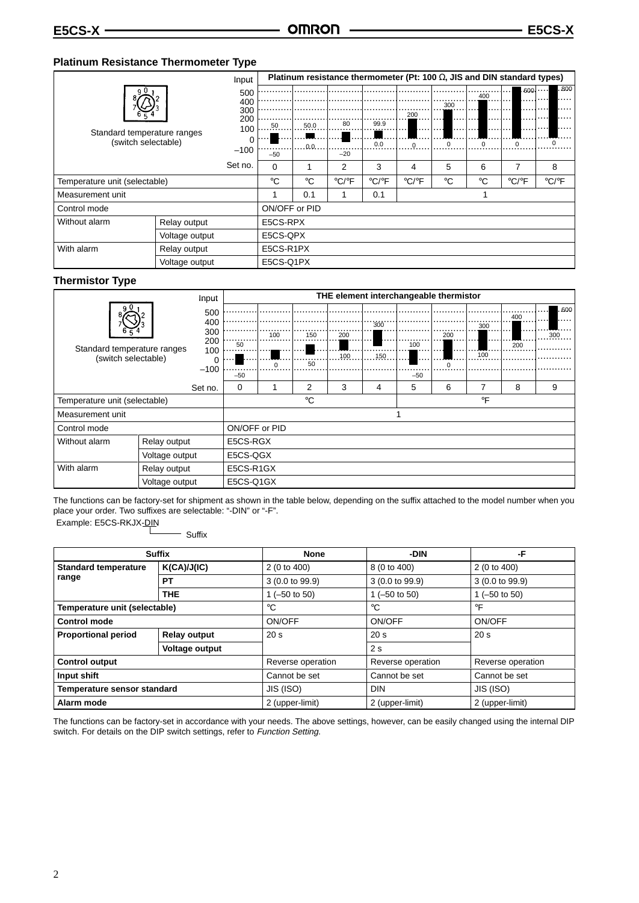## **Platinum Resistance Thermometer Type**

|                                                                            |              | Input      |                   |             |                           |                           |                           |             |              | Platinum resistance thermometer (Pt: 100 $\Omega$ , JIS and DIN standard types) |                           |
|----------------------------------------------------------------------------|--------------|------------|-------------------|-------------|---------------------------|---------------------------|---------------------------|-------------|--------------|---------------------------------------------------------------------------------|---------------------------|
| g U<br>100<br>Standard temperature ranges<br>(switch selectable)<br>$-100$ |              | 500<br>400 |                   |             |                           |                           |                           | 300         | 400          | $600 \cdots$                                                                    | .800<br>.                 |
|                                                                            |              | 300<br>200 | .50               | 50.0        | 80                        | 99.9                      | 200                       |             |              |                                                                                 | .                         |
|                                                                            |              | $\Omega$   |                   | .0.0.       |                           | 0.0                       |                           | 0           |              |                                                                                 |                           |
|                                                                            |              | Set no.    | $-50$<br>$\Omega$ | 1           | $-20$<br>2                | 3                         | 4                         | 5           | 6            | 7                                                                               | 8                         |
| Temperature unit (selectable)                                              |              |            | $^{\circ}C$       | $^{\circ}C$ | $\mathrm{C}/\mathrm{P}$ F | $\mathrm{C}/\mathrm{P}$ F | $\mathrm{C}/\mathrm{P}$ F | $^{\circ}C$ | $^{\circ}$ C | $^{\circ}$ C/ $^{\circ}$ F                                                      | $\mathrm{C}/\mathrm{P}$ F |
| Measurement unit                                                           |              |            | 1                 | 0.1         | 1                         | 0.1                       |                           |             | 1            |                                                                                 |                           |
| Control mode                                                               |              |            | ON/OFF or PID     |             |                           |                           |                           |             |              |                                                                                 |                           |
| Without alarm                                                              | Relay output |            | E5CS-RPX          |             |                           |                           |                           |             |              |                                                                                 |                           |
| Voltage output                                                             |              | E5CS-QPX   |                   |             |                           |                           |                           |             |              |                                                                                 |                           |
| With alarm<br>Relay output                                                 |              |            | E5CS-R1PX         |             |                           |                           |                           |             |              |                                                                                 |                           |
| Voltage output                                                             |              | E5CS-Q1PX  |                   |             |                           |                           |                           |             |              |                                                                                 |                           |

#### **Thermistor Type**

|                               |                | Input      |               |     |             |     | THE element interchangeable thermistor |       |          |           |                  |      |
|-------------------------------|----------------|------------|---------------|-----|-------------|-----|----------------------------------------|-------|----------|-----------|------------------|------|
| 9 L                           |                | 500<br>400 |               |     |             |     | 300                                    |       |          | 300       | 400              | 000. |
|                               |                | 300<br>200 |               | 100 | 150         | 200 |                                        |       | 200      |           | . <del>.</del> . | 300  |
| Standard temperature ranges   |                | 100        | 50            |     |             | 100 | 150                                    | 100   |          | 100       | 200              |      |
| (switch selectable)           |                | $-100$     |               |     | 50          |     |                                        |       | $\Omega$ |           |                  |      |
|                               |                |            | $-50$         |     |             |     |                                        | $-50$ |          |           |                  |      |
|                               |                | Set no.    | 0             |     | 2           | 3   | 4                                      | 5     | 6        | 7         | 8                | 9    |
| Temperature unit (selectable) |                |            |               |     | $^{\circ}C$ |     |                                        |       |          | $\circ$ F |                  |      |
| Measurement unit              |                |            |               |     |             |     |                                        |       |          |           |                  |      |
| Control mode                  |                |            | ON/OFF or PID |     |             |     |                                        |       |          |           |                  |      |
| Without alarm                 | Relay output   |            | E5CS-RGX      |     |             |     |                                        |       |          |           |                  |      |
|                               | Voltage output |            | E5CS-QGX      |     |             |     |                                        |       |          |           |                  |      |
| With alarm<br>Relay output    |                | E5CS-R1GX  |               |     |             |     |                                        |       |          |           |                  |      |
|                               | Voltage output |            | E5CS-Q1GX     |     |             |     |                                        |       |          |           |                  |      |

The functions can be factory-set for shipment as shown in the table below, depending on the suffix attached to the model number when you place your order. Two suffixes are selectable: "-DIN" or "-F".

Example: E5CS-RKJX-DIN

Suffix

|                               | <b>Suffix</b>         | <b>None</b>              | -DIN                     | -F                       |  |
|-------------------------------|-----------------------|--------------------------|--------------------------|--------------------------|--|
| <b>Standard temperature</b>   | K(CA)/J(IC)           | 2 (0 to 400)             | 8 (0 to 400)             | 2 (0 to 400)             |  |
| range                         | PТ                    | 3 (0.0 to 99.9)          | 3 (0.0 to 99.9)          | 3 (0.0 to 99.9)          |  |
|                               | <b>THE</b>            | 1 $(-50 \text{ to } 50)$ | 1 $(-50 \text{ to } 50)$ | 1 $(-50 \text{ to } 50)$ |  |
| Temperature unit (selectable) |                       | °C                       | °C                       | $\circ$ F                |  |
| <b>Control mode</b>           |                       | ON/OFF                   | ON/OFF                   | ON/OFF                   |  |
| <b>Proportional period</b>    | <b>Relay output</b>   | 20 <sub>s</sub>          | 20 <sub>s</sub>          | 20 <sub>s</sub>          |  |
|                               | <b>Voltage output</b> |                          | 2 <sub>s</sub>           |                          |  |
| <b>Control output</b>         |                       | Reverse operation        | Reverse operation        | Reverse operation        |  |
| Input shift                   |                       | Cannot be set            | Cannot be set            | Cannot be set            |  |
| Temperature sensor standard   |                       | JIS (ISO)                | <b>DIN</b>               | JIS (ISO)                |  |
| Alarm mode                    |                       | 2 (upper-limit)          | 2 (upper-limit)          | 2 (upper-limit)          |  |

The functions can be factory-set in accordance with your needs. The above settings, however, can be easily changed using the internal DIP switch. For details on the DIP switch settings, refer to Function Setting.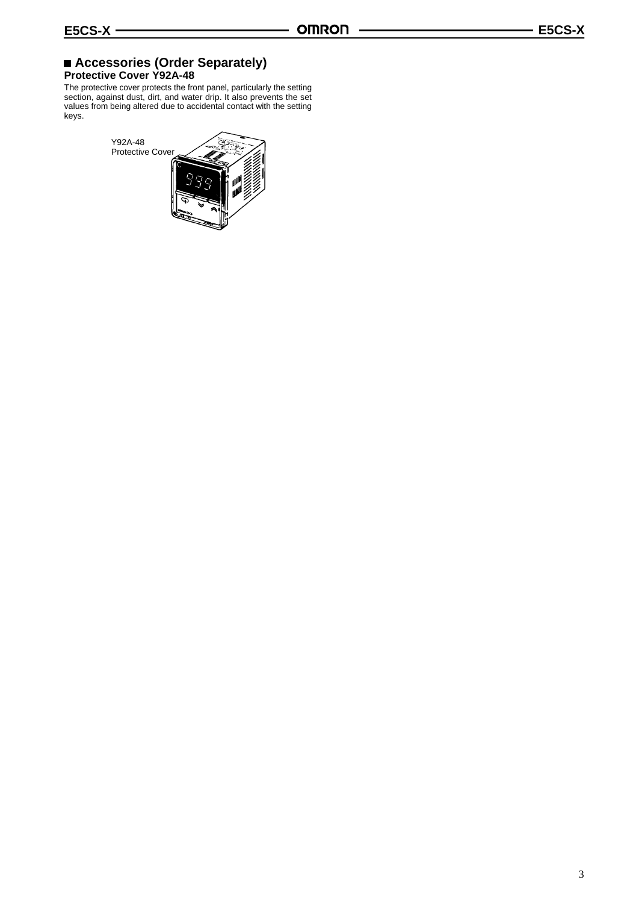## **Accessories (Order Separately) Protective Cover Y92A-48**

The protective cover protects the front panel, particularly the setting section, against dust, dirt, and water drip. It also prevents the set values from being altered due to accidental contact with the setting keys.

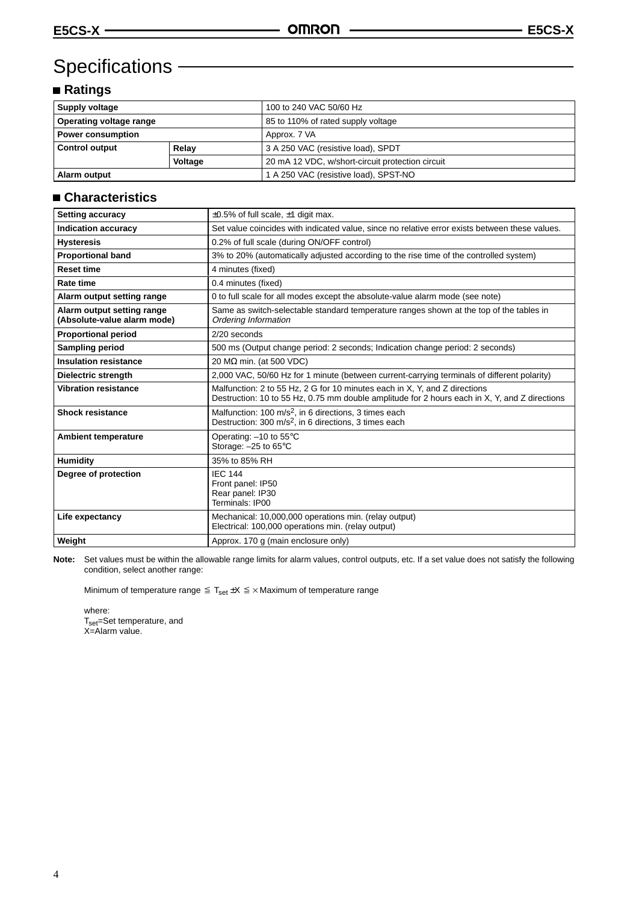# Specifications – **Constanting Specifications**

# **Ratings**

| Supply voltage                                              |       | 100 to 240 VAC 50/60 Hz               |  |  |  |
|-------------------------------------------------------------|-------|---------------------------------------|--|--|--|
| Operating voltage range                                     |       | 85 to 110% of rated supply voltage    |  |  |  |
| <b>Power consumption</b>                                    |       | Approx. 7 VA                          |  |  |  |
| <b>Control output</b>                                       | Relay | 3 A 250 VAC (resistive load), SPDT    |  |  |  |
| 20 mA 12 VDC, w/short-circuit protection circuit<br>Voltage |       |                                       |  |  |  |
| Alarm output                                                |       | 1 A 250 VAC (resistive load), SPST-NO |  |  |  |

# **Characteristics**

| <b>Setting accuracy</b>                                   | $\pm 0.5\%$ of full scale, $\pm 1$ digit max.                                                                                                                               |
|-----------------------------------------------------------|-----------------------------------------------------------------------------------------------------------------------------------------------------------------------------|
| <b>Indication accuracy</b>                                | Set value coincides with indicated value, since no relative error exists between these values.                                                                              |
| <b>Hysteresis</b>                                         | 0.2% of full scale (during ON/OFF control)                                                                                                                                  |
| <b>Proportional band</b>                                  | 3% to 20% (automatically adjusted according to the rise time of the controlled system)                                                                                      |
| <b>Reset time</b>                                         | 4 minutes (fixed)                                                                                                                                                           |
| Rate time                                                 | 0.4 minutes (fixed)                                                                                                                                                         |
| Alarm output setting range                                | 0 to full scale for all modes except the absolute-value alarm mode (see note)                                                                                               |
| Alarm output setting range<br>(Absolute-value alarm mode) | Same as switch-selectable standard temperature ranges shown at the top of the tables in<br>Ordering Information                                                             |
| <b>Proportional period</b>                                | 2/20 seconds                                                                                                                                                                |
| Sampling period                                           | 500 ms (Output change period: 2 seconds; Indication change period: 2 seconds)                                                                                               |
| <b>Insulation resistance</b>                              | 20 MΩ min. (at 500 VDC)                                                                                                                                                     |
| <b>Dielectric strength</b>                                | 2,000 VAC, 50/60 Hz for 1 minute (between current-carrying terminals of different polarity)                                                                                 |
| <b>Vibration resistance</b>                               | Malfunction: 2 to 55 Hz, 2 G for 10 minutes each in X, Y, and Z directions<br>Destruction: 10 to 55 Hz, 0.75 mm double amplitude for 2 hours each in X, Y, and Z directions |
| <b>Shock resistance</b>                                   | Malfunction: 100 m/s <sup>2</sup> , in 6 directions, 3 times each<br>Destruction: 300 m/s <sup>2</sup> , in 6 directions, 3 times each                                      |
| <b>Ambient temperature</b>                                | Operating: $-10$ to 55 $\degree$ C<br>Storage: -25 to 65°C                                                                                                                  |
| <b>Humidity</b>                                           | 35% to 85% RH                                                                                                                                                               |
| Degree of protection                                      | <b>IEC 144</b><br>Front panel: IP50<br>Rear panel: IP30<br>Terminals: IP00                                                                                                  |
| Life expectancy                                           | Mechanical: 10,000,000 operations min. (relay output)<br>Electrical: 100,000 operations min. (relay output)                                                                 |
| Weight                                                    | Approx. 170 g (main enclosure only)                                                                                                                                         |

**Note:** Set values must be within the allowable range limits for alarm values, control outputs, etc. If a set value does not satisfy the following condition, select another range:

Minimum of temperature range  $\leq T_{\text{set}} \pm X \leq \times$  Maximum of temperature range

where: T<sub>set</sub>=Set temperature, and X=Alarm value.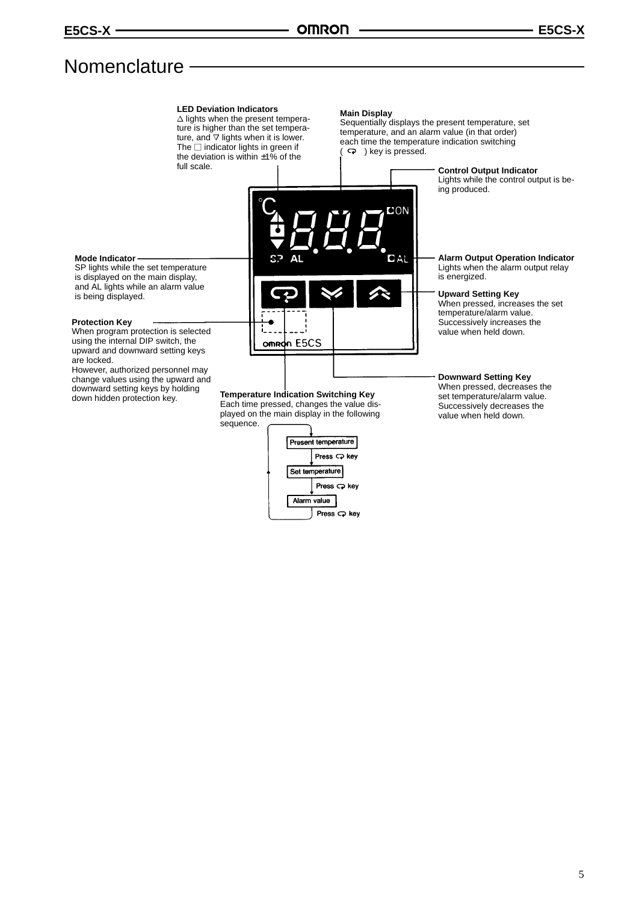# **Nomenclature**

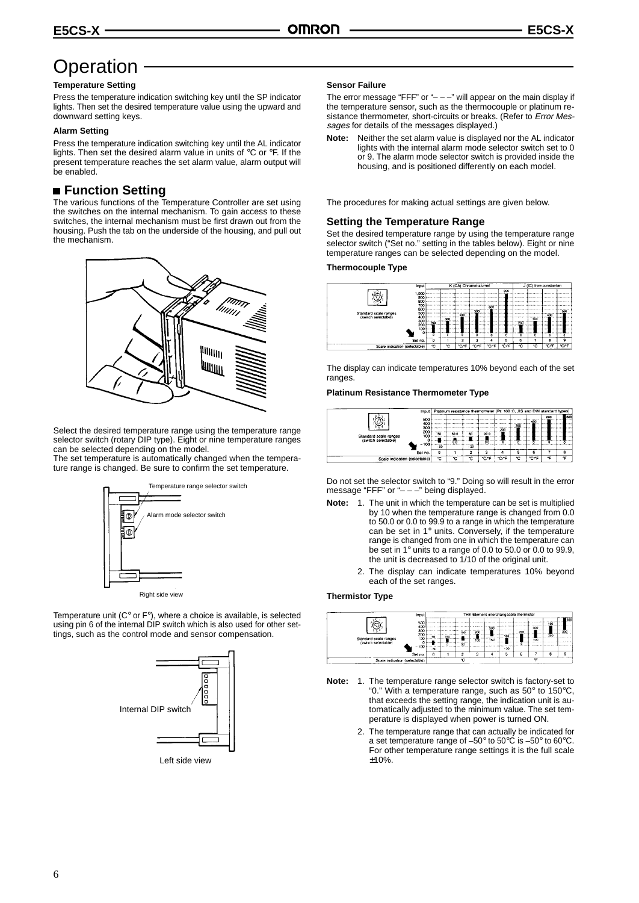# Operation

#### **Temperature Setting**

Press the temperature indication switching key until the SP indicator lights. Then set the desired temperature value using the upward and downward setting keys.

#### **Alarm Setting**

Press the temperature indication switching key until the AL indicator lights. Then set the desired alarm value in units of °C or °F. If the present temperature reaches the set alarm value, alarm output will be enabled.

### ■ Function Setting

The various functions of the Temperature Controller are set using the switches on the internal mechanism. To gain access to these switches, the internal mechanism must be first drawn out from the housing. Push the tab on the underside of the housing, and pull out the mechanism.



Select the desired temperature range using the temperature range selector switch (rotary DIP type). Eight or nine temperature ranges can be selected depending on the model.

The set temperature is automatically changed when the temperature range is changed. Be sure to confirm the set temperature.



Right side view

Temperature unit ( $C^{\circ}$  or  $F^{\circ}$ ), where a choice is available, is selected using pin 6 of the internal DIP switch which is also used for other settings, such as the control mode and sensor compensation.



Left side view

#### **Sensor Failure**

The error message "FFF" or " $- -$ " will appear on the main display if the temperature sensor, such as the thermocouple or platinum resistance thermometer, short-circuits or breaks. (Refer to *Error Mes*sages for details of the messages displayed.)

**Note:** Neither the set alarm value is displayed nor the AL indicator lights with the internal alarm mode selector switch set to 0 or 9. The alarm mode selector switch is provided inside the housing, and is positioned differently on each model.

The procedures for making actual settings are given below.

#### **Setting the Temperature Range**

Set the desired temperature range by using the temperature range selector switch ("Set no." setting in the tables below). Eight or nine temperature ranges can be selected depending on the model.

#### **Thermocouple Type**



The display can indicate temperatures 10% beyond each of the set ranges

#### **Platinum Resistance Thermometer Type**



Do not set the selector switch to "9." Doing so will result in the error message "FFF" or "- - -" being displayed.

- **Note:** 1. The unit in which the temperature can be set is multiplied by 10 when the temperature range is changed from 0.0 to 50.0 or 0.0 to 99.9 to a range in which the temperature can be set in 1° units. Conversely, if the temperature range is changed from one in which the temperature can be set in 1° units to a range of 0.0 to 50.0 or 0.0 to 99.9, the unit is decreased to 1/10 of the original unit.
	- 2. The display can indicate temperatures 10% beyond each of the set ranges.

#### **Thermistor Type**



- **Note:** 1. The temperature range selector switch is factory-set to "0." With a temperature range, such as 50° to 150°C, that exceeds the setting range, the indication unit is automatically adjusted to the minimum value. The set temperature is displayed when power is turned ON.
	- 2. The temperature range that can actually be indicated for a set temperature range of  $-50^{\circ}$  to  $50^{\circ}$ C is  $-50^{\circ}$  to  $60^{\circ}$ C. For other temperature range settings it is the full scale  $+10%$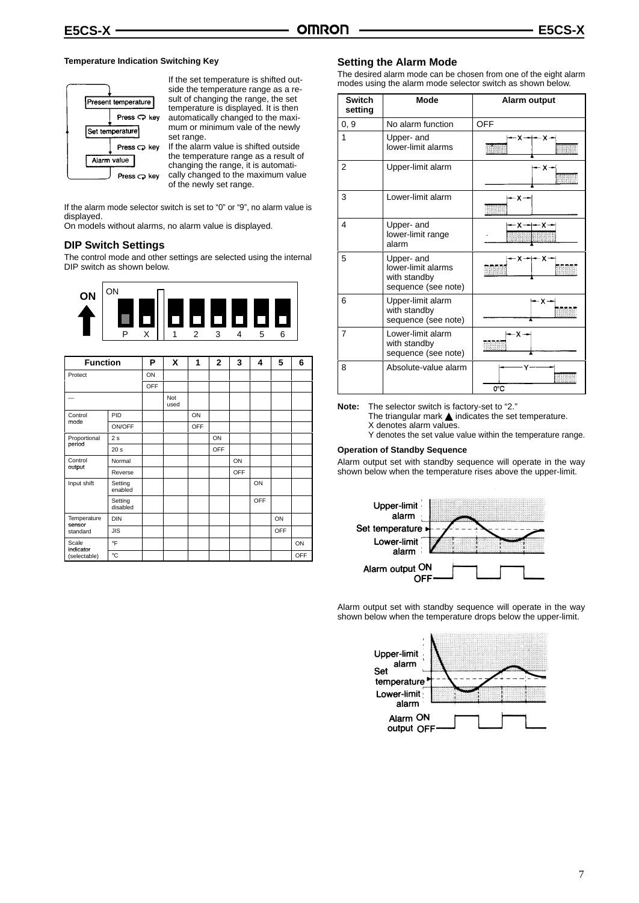#### **Temperature Indication Switching Key**



If the set temperature is shifted outside the temperature range as a result of changing the range, the set temperature is displayed. It is then automatically changed to the maximum or minimum vale of the newly set range.

If the alarm value is shifted outside the temperature range as a result of changing the range, it is automatically changed to the maximum value of the newly set range.

If the alarm mode selector switch is set to "0" or "9", no alarm value is displayed.

On models without alarms, no alarm value is displayed.

#### **DIP Switch Settings**

The control mode and other settings are selected using the internal DIP switch as shown below.



| <b>Function</b>       |                     | P   | X           | 1   | $\mathbf{2}$ | 3          | 4   | 5   | 6   |
|-----------------------|---------------------|-----|-------------|-----|--------------|------------|-----|-----|-----|
| Protect               |                     | ON  |             |     |              |            |     |     |     |
|                       |                     | OFF |             |     |              |            |     |     |     |
| ---                   |                     |     | Not<br>used |     |              |            |     |     |     |
| Control               | PID                 |     |             | ON  |              |            |     |     |     |
| mode                  | ON/OFF              |     |             | OFF |              |            |     |     |     |
| Proportional          | 2s                  |     |             |     | ON           |            |     |     |     |
| period                | 20 <sub>s</sub>     |     |             |     | OFF          |            |     |     |     |
| Control               | Normal              |     |             |     |              | ON         |     |     |     |
| output                | Reverse             |     |             |     |              | <b>OFF</b> |     |     |     |
| Input shift           | Setting<br>enabled  |     |             |     |              |            | ON  |     |     |
|                       | Setting<br>disabled |     |             |     |              |            | OFF |     |     |
| Temperature<br>sensor | <b>DIN</b>          |     |             |     |              |            |     | ON  |     |
| standard              | <b>JIS</b>          |     |             |     |              |            |     | OFF |     |
| Scale<br>indicator    | °F                  |     |             |     |              |            |     |     | ON  |
| (selectable)          | ۰c                  |     |             |     |              |            |     |     | OFF |

#### **Setting the Alarm Mode**

The desired alarm mode can be chosen from one of the eight alarm modes using the alarm mode selector switch as shown below.

| <b>Switch</b><br>setting | <b>Mode</b>                                                             | Alarm output |
|--------------------------|-------------------------------------------------------------------------|--------------|
| 0, 9                     | No alarm function                                                       | OFF          |
| $\mathbf{1}$             | Upper- and<br>lower-limit alarms                                        | ⊷x⊸⊣⊷x       |
| $\overline{2}$           | Upper-limit alarm                                                       | χ-           |
| 3                        | Lower-limit alarm                                                       | -x-          |
| 4                        | Upper- and<br>lower-limit range<br>alarm                                |              |
| 5                        | Upper- and<br>lower-limit alarms<br>with standby<br>sequence (see note) |              |
| 6                        | Upper-limit alarm<br>with standby<br>sequence (see note)                | χ-           |
| $\overline{7}$           | Lower-limit alarm<br>with standby<br>sequence (see note)                | -x --        |
| 8                        | Absolute-value alarm                                                    | 0°C          |

**Note:** The selector switch is factory-set to "2."

The triangular mark  $\triangle$  indicates the set temperature. X denotes alarm values.

Y denotes the set value value within the temperature range.

#### **Operation of Standby Sequence**

Alarm output set with standby sequence will operate in the way shown below when the temperature rises above the upper-limit.



Alarm output set with standby sequence will operate in the way shown below when the temperature drops below the upper-limit.

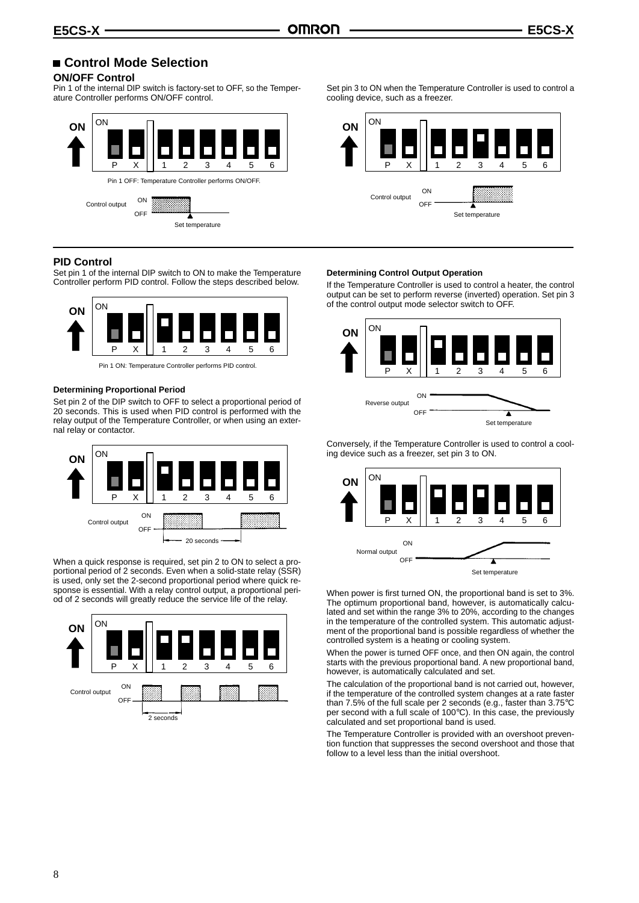# **Control Mode Selection**

### **ON/OFF Control**

Pin 1 of the internal DIP switch is factory-set to OFF, so the Temperature Controller performs ON/OFF control.



Set pin 3 to ON when the Temperature Controller is used to control a cooling device, such as a freezer.



#### **PID Control**

Set pin 1 of the internal DIP switch to ON to make the Temperature Controller perform PID control. Follow the steps described below.



Pin 1 ON: Temperature Controller performs PID control.

#### **Determining Proportional Period**

Set pin 2 of the DIP switch to OFF to select a proportional period of 20 seconds. This is used when PID control is performed with the relay output of the Temperature Controller, or when using an external relay or contactor.



When a quick response is required, set pin 2 to ON to select a proportional period of 2 seconds. Even when a solid-state relay (SSR) is used, only set the 2-second proportional period where quick response is essential. With a relay control output, a proportional period of 2 seconds will greatly reduce the service life of the relay.



#### **Determining Control Output Operation**

If the Temperature Controller is used to control a heater, the control output can be set to perform reverse (inverted) operation. Set pin 3 of the control output mode selector switch to OFF.



Conversely, if the Temperature Controller is used to control a cooling device such as a freezer, set pin 3 to ON.



When power is first turned ON, the proportional band is set to 3%. The optimum proportional band, however, is automatically calculated and set within the range 3% to 20%, according to the changes in the temperature of the controlled system. This automatic adjustment of the proportional band is possible regardless of whether the controlled system is a heating or cooling system.

When the power is turned OFF once, and then ON again, the control starts with the previous proportional band. A new proportional band, however, is automatically calculated and set.

The calculation of the proportional band is not carried out, however, if the temperature of the controlled system changes at a rate faster than 7.5% of the full scale per 2 seconds (e.g., faster than 3.75°C per second with a full scale of 100°C). In this case, the previously calculated and set proportional band is used.

The Temperature Controller is provided with an overshoot prevention function that suppresses the second overshoot and those that follow to a level less than the initial overshoot.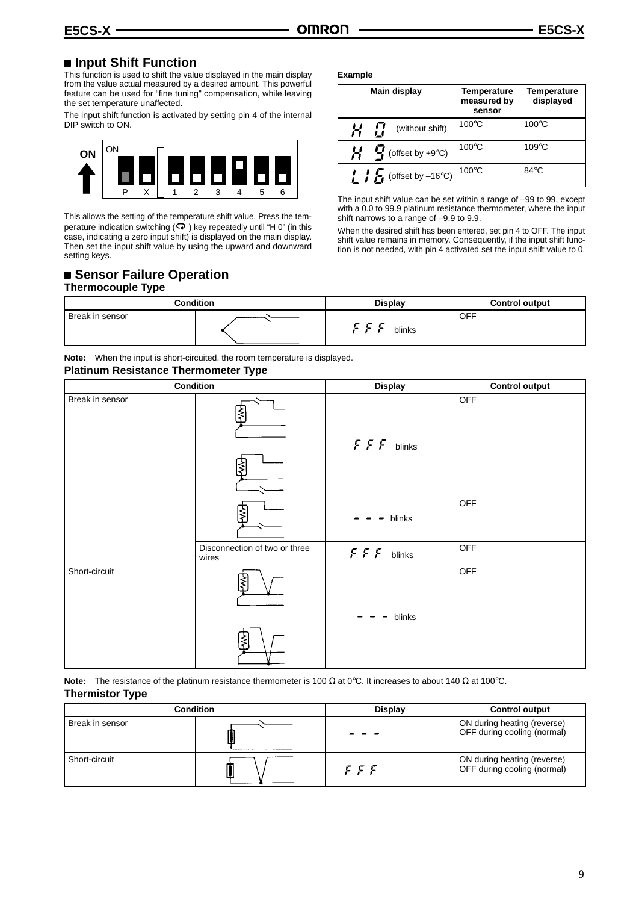# **Input Shift Function**

This function is used to shift the value displayed in the main display from the value actual measured by a desired amount. This powerful feature can be used for "fine tuning" compensation, while leaving the set temperature unaffected.

The input shift function is activated by setting pin 4 of the internal DIP switch to ON.



This allows the setting of the temperature shift value. Press the temperature indication switching ( $\heartsuit$  ) key repeatedly until "H 0" (in this case, indicating a zero input shift) is displayed on the main display. Then set the input shift value by using the upward and downward setting keys.

### **Example 3 Sensor Failure Operation Thermocouple Type**

**Example**

| Main display                                  | <b>Temperature</b><br>measured by<br>sensor | <b>Temperature</b><br>displayed |  |
|-----------------------------------------------|---------------------------------------------|---------------------------------|--|
| Н<br>$\overline{u}$<br>(without shift)        | $100^{\circ}$ C                             | $100^{\circ}$ C                 |  |
| $H \subseteq$ (offset by +9°C)                | $100^{\circ}$ C                             | $109^{\circ}$ C                 |  |
| $\frac{1}{2}$ $\frac{1}{2}$ (offset by -16°C) | $100^{\circ}$ C                             | $84^{\circ}$ C                  |  |

The input shift value can be set within a range of –99 to 99, except with a 0.0 to 99.9 platinum resistance thermometer, where the input shift narrows to a range of –9.9 to 9.9.

When the desired shift has been entered, set pin 4 to OFF. The input shift value remains in memory. Consequently, if the input shift function is not needed, with pin 4 activated set the input shift value to 0.

|                 | <b>Condition</b> | <b>Display</b>   | <b>Control output</b> |
|-----------------|------------------|------------------|-----------------------|
| Break in sensor |                  | blinks<br>$\sim$ | <b>OFF</b>            |

**Note:** When the input is short-circuited, the room temperature is displayed.

#### **Platinum Resistance Thermometer Type**

|                 | <b>Condition</b>                       | <b>Display</b>  | <b>Control output</b> |
|-----------------|----------------------------------------|-----------------|-----------------------|
| Break in sensor | ξ<br>≸                                 | $F F F$ blinks  | <b>OFF</b>            |
|                 | ξ                                      | blinks          | <b>OFF</b>            |
|                 | Disconnection of two or three<br>wires | F F F<br>blinks | <b>OFF</b>            |
| Short-circuit   | ∤≹<br>∣≶                               | blinks          | <b>OFF</b>            |

**Note:** The resistance of the platinum resistance thermometer is 100 Ω at 0°C. It increases to about 140 Ω at 100°C. **Thermistor Type**

|                 | <b>Condition</b> | Display | <b>Control output</b>                                      |
|-----------------|------------------|---------|------------------------------------------------------------|
| Break in sensor |                  |         | ON during heating (reverse)<br>OFF during cooling (normal) |
| Short-circuit   | Ш                | ም ምር    | ON during heating (reverse)<br>OFF during cooling (normal) |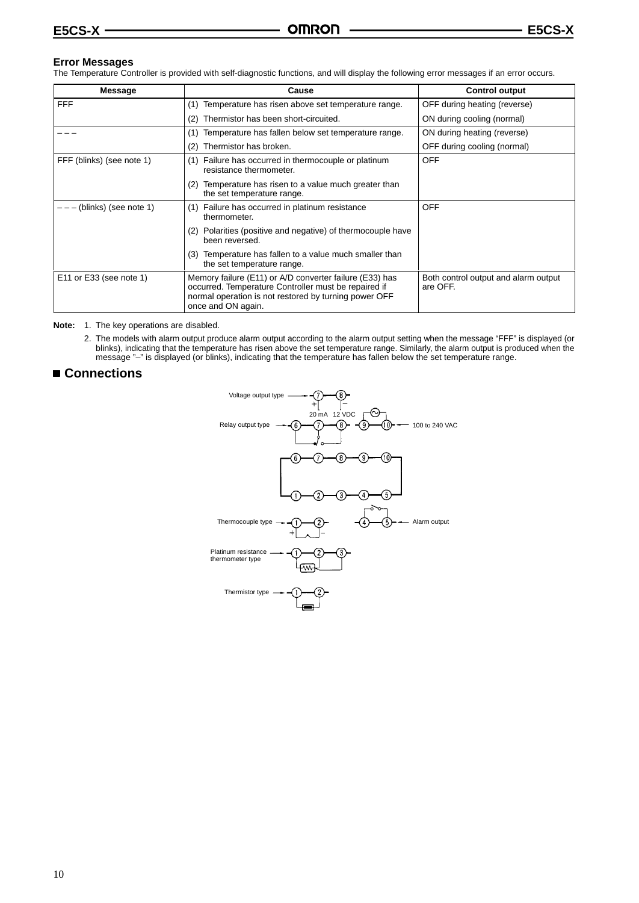#### **Error Messages**

The Temperature Controller is provided with self-diagnostic functions, and will display the following error messages if an error occurs.

| <b>Message</b>            | Cause                                                                                                                                                                                          | <b>Control output</b>                            |
|---------------------------|------------------------------------------------------------------------------------------------------------------------------------------------------------------------------------------------|--------------------------------------------------|
| <b>FFF</b>                | Temperature has risen above set temperature range.<br>(1)                                                                                                                                      | OFF during heating (reverse)                     |
|                           | Thermistor has been short-circuited.<br>(2)                                                                                                                                                    | ON during cooling (normal)                       |
|                           | Temperature has fallen below set temperature range.<br>(1)                                                                                                                                     | ON during heating (reverse)                      |
|                           | Thermistor has broken.<br>(2)                                                                                                                                                                  | OFF during cooling (normal)                      |
| FFF (blinks) (see note 1) | Failure has occurred in thermocouple or platinum<br>(1)<br>resistance thermometer.                                                                                                             | <b>OFF</b>                                       |
|                           | Temperature has risen to a value much greater than<br>(2)<br>the set temperature range.                                                                                                        |                                                  |
| (blinks) (see note 1)     | Failure has occurred in platinum resistance<br>(1)<br>thermometer.                                                                                                                             | <b>OFF</b>                                       |
|                           | Polarities (positive and negative) of thermocouple have<br>(2)<br>been reversed.                                                                                                               |                                                  |
|                           | Temperature has fallen to a value much smaller than<br>(3)<br>the set temperature range.                                                                                                       |                                                  |
| E11 or E33 (see note 1)   | Memory failure (E11) or A/D converter failure (E33) has<br>occurred. Temperature Controller must be repaired if<br>normal operation is not restored by turning power OFF<br>once and ON again. | Both control output and alarm output<br>are OFF. |

**Note:** 1. The key operations are disabled.

2. The models with alarm output produce alarm output according to the alarm output setting when the message "FFF" is displayed (or blinks), indicating that the temperature has risen above the set temperature range. Similarly, the alarm output is produced when the message "–" is displayed (or blinks), indicating that the temperature has fallen below the set temperature range.

## **Connections**

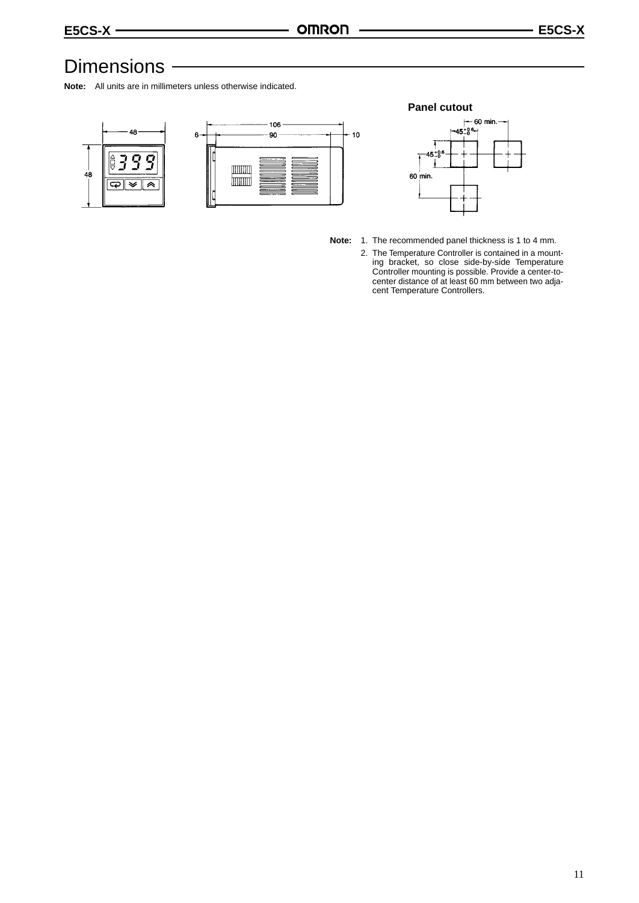# **Dimensions**

**Note:** All units are in millimeters unless otherwise indicated.





## **Panel cutout**



- **Note:** 1. The recommended panel thickness is 1 to 4 mm.
	- 2. The Temperature Controller is contained in a mounting bracket, so close side-by-side Temperature Controller mounting is possible. Provide a center-tocenter distance of at least 60 mm between two adjacent Temperature Controllers.